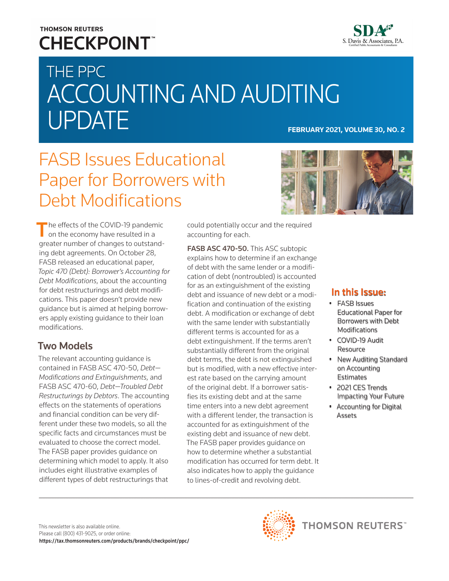# **THOMSON REUTERS CHECKPOINT**



# THE PPC ACCOUNTING AND AUDITING UPDATE **FEBRUARY 2021, VOLUME 30, NO. 2**

# FASB Issues Educational Paper for Borrowers with Debt Modifications

 $\blacksquare$  he effects of the COVID-19 pandemic on the economy have resulted in a greater number of changes to outstanding debt agreements. On October 28, FASB released an educational paper, *Topic 470 (Debt): Borrower's Accounting for Debt Modifications*, about the accounting for debt restructurings and debt modifications. This paper doesn't provide new guidance but is aimed at helping borrowers apply existing guidance to their loan modifications.

### Two Models

The relevant accounting guidance is contained in FASB ASC 470-50, *Debt— Modifications and Extinguishments*, and FASB ASC 470-60, *Debt—Troubled Debt Restructurings by Debtors*. The accounting effects on the statements of operations and financial condition can be very different under these two models, so all the specific facts and circumstances must be evaluated to choose the correct model. The FASB paper provides guidance on determining which model to apply. It also includes eight illustrative examples of different types of debt restructurings that

could potentially occur and the required accounting for each.

FASB ASC 470-50. This ASC subtopic explains how to determine if an exchange of debt with the same lender or a modification of debt (nontroubled) is accounted for as an extinguishment of the existing debt and issuance of new debt or a modification and continuation of the existing debt. A modification or exchange of debt with the same lender with substantially different terms is accounted for as a debt extinguishment. If the terms aren't substantially different from the original debt terms, the debt is not extinguished but is modified, with a new effective interest rate based on the carrying amount of the original debt. If a borrower satisfies its existing debt and at the same time enters into a new debt agreement with a different lender, the transaction is accounted for as extinguishment of the existing debt and issuance of new debt. The FASB paper provides guidance on how to determine whether a substantial modification has occurred for term debt. It also indicates how to apply the guidance to lines-of-credit and revolving debt.



#### In this Issue:

- FASB Issues Educational Paper for Borrowers with Debt Modifications
- COVID-19 Audit Resource
- New Auditing Standard on Accounting **Estimates**
- 2021 CES Trends Impacting Your Future
- Accounting for Digital Assets

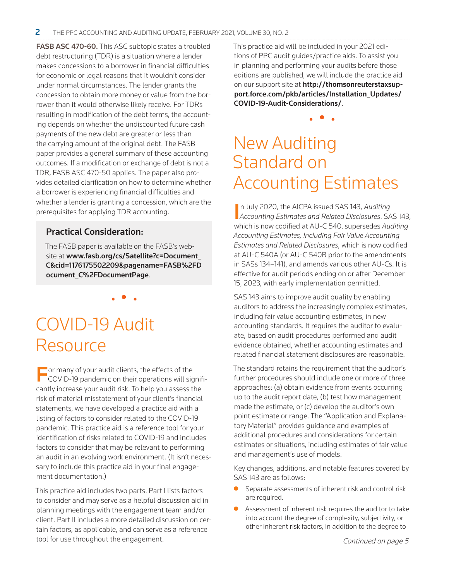FASB ASC 470-60. This ASC subtopic states a troubled debt restructuring (TDR) is a situation where a lender makes concessions to a borrower in financial difficulties for economic or legal reasons that it wouldn't consider under normal circumstances. The lender grants the concession to obtain more money or value from the borrower than it would otherwise likely receive. For TDRs resulting in modification of the debt terms, the accounting depends on whether the undiscounted future cash payments of the new debt are greater or less than the carrying amount of the original debt. The FASB paper provides a general summary of these accounting outcomes. If a modification or exchange of debt is not a TDR, FASB ASC 470-50 applies. The paper also provides detailed clarification on how to determine whether a borrower is experiencing financial difficulties and whether a lender is granting a concession, which are the prerequisites for applying TDR accounting.

#### Practical Consideration:

The FASB paper is available on the FASB's website at [www.fasb.org/cs/Satellite?c=Document\\_](https://www.fasb.org/cs/Satellite?c=Document_C&cid=1176175502209&pagename=FASB%2FDocument_C%2FDocumentPage) [C&cid=1176175502209&pagename=FASB%2FD](https://www.fasb.org/cs/Satellite?c=Document_C&cid=1176175502209&pagename=FASB%2FDocument_C%2FDocumentPage) [ocument\\_C%2FDocumentPage](https://www.fasb.org/cs/Satellite?c=Document_C&cid=1176175502209&pagename=FASB%2FDocument_C%2FDocumentPage).

• • •

COVID-19 Audit Resource

**For many of your audit clients, the effects of the COVID-19 pandemic on their operations will signifi**cantly increase your audit risk. To help you assess the risk of material misstatement of your client's financial statements, we have developed a practice aid with a listing of factors to consider related to the COVID-19 pandemic. This practice aid is a reference tool for your identification of risks related to COVID-19 and includes factors to consider that may be relevant to performing an audit in an evolving work environment. (It isn't necessary to include this practice aid in your final engagement documentation.)

This practice aid includes two parts. Part I lists factors to consider and may serve as a helpful discussion aid in planning meetings with the engagement team and/or client. Part II includes a more detailed discussion on certain factors, as applicable, and can serve as a reference tool for use throughout the engagement.

This practice aid will be included in your 2021 editions of PPC audit guides/practice aids. To assist you in planning and performing your audits before those editions are published, we will include the practice aid on our support site at [http://thomsonreuterstaxsup](http://thomsonreuterstaxsupport.force.com/pkb/articles/Installation_Updates/COVID-19-Audit-Considerations/)[port.force.com/pkb/articles/Installation\\_Updates/](http://thomsonreuterstaxsupport.force.com/pkb/articles/Installation_Updates/COVID-19-Audit-Considerations/) [COVID-19-Audit-Considerations/](http://thomsonreuterstaxsupport.force.com/pkb/articles/Installation_Updates/COVID-19-Audit-Considerations/).

• • •

# New Auditing Standard on Accounting Estimates

I *Accounting Estimates and Related Disclosures*. SAS 143, n July 2020, the AICPA issued SAS 143, *Auditing*  which is now codified at AU-C 540, supersedes *Auditing Accounting Estimates, Including Fair Value Accounting Estimates and Related Disclosures*, which is now codified at AU-C 540A (or AU-C 540B prior to the amendments in SASs 134–141), and amends various other AU-Cs. It is effective for audit periods ending on or after December 15, 2023, with early implementation permitted.

SAS 143 aims to improve audit quality by enabling auditors to address the increasingly complex estimates, including fair value accounting estimates, in new accounting standards. It requires the auditor to evaluate, based on audit procedures performed and audit evidence obtained, whether accounting estimates and related financial statement disclosures are reasonable.

The standard retains the requirement that the auditor's further procedures should include one or more of three approaches: (a) obtain evidence from events occurring up to the audit report date, (b) test how management made the estimate, or (c) develop the auditor's own point estimate or range. The "Application and Explanatory Material" provides guidance and examples of additional procedures and considerations for certain estimates or situations, including estimates of fair value and management's use of models.

Key changes, additions, and notable features covered by SAS 143 are as follows:

- $\bullet$  Separate assessments of inherent risk and control risk are required.
- Assessment of inherent risk requires the auditor to take into account the degree of complexity, subjectivity, or other inherent risk factors, in addition to the degree to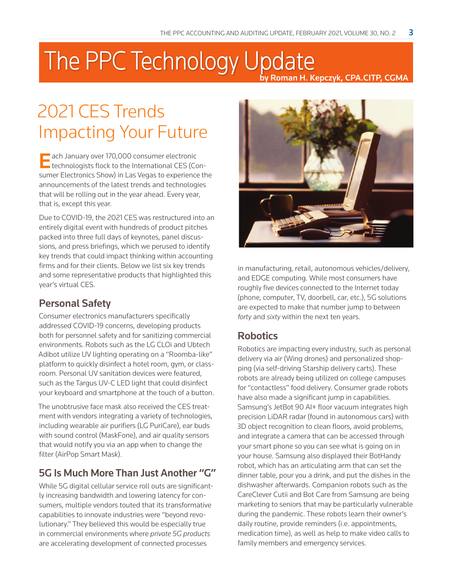# The PPC Technology Update by Roman H. Kepczyk, CPA.CITP, CGMA

# 2021 CES Trends Impacting Your Future

**Each January over 170,000 consumer electronic**<br>technologists flock to the International CES (Consumer Electronics Show) in Las Vegas to experience the announcements of the latest trends and technologies that will be rolling out in the year ahead. Every year, that is, except this year.

Due to COVID-19, the 2021 CES was restructured into an entirely digital event with hundreds of product pitches packed into three full days of keynotes, panel discussions, and press briefings, which we perused to identify key trends that could impact thinking within accounting firms and for their clients. Below we list six key trends and some representative products that highlighted this year's virtual CES.

### Personal Safety

Consumer electronics manufacturers specifically addressed COVID-19 concerns, developing products both for personnel safety and for sanitizing commercial environments. Robots such as the LG CLOi and Ubtech Adibot utilize UV lighting operating on a "Roomba-like" platform to quickly disinfect a hotel room, gym, or classroom. Personal UV sanitation devices were featured, such as the Targus UV-C LED light that could disinfect your keyboard and smartphone at the touch of a button.

The unobtrusive face mask also received the CES treatment with vendors integrating a variety of technologies, including wearable air purifiers (LG PuriCare), ear buds with sound control (MaskFone), and air quality sensors that would notify you via an app when to change the filter (AirPop Smart Mask).

## 5G Is Much More Than Just Another "G"

While 5G digital cellular service roll outs are significantly increasing bandwidth and lowering latency for consumers, multiple vendors touted that its transformative capabilities to innovate industries were "beyond revolutionary." They believed this would be especially true in commercial environments where *private 5G products* are accelerating development of connected processes



in manufacturing, retail, autonomous vehicles/delivery, and EDGE computing. While most consumers have roughly five devices connected to the Internet today (phone, computer, TV, doorbell, car, etc.), 5G solutions are expected to make that number jump to between *forty* and *sixty* within the next ten years.

### **Robotics**

Robotics are impacting every industry, such as personal delivery via air (Wing drones) and personalized shopping (via self-driving Starship delivery carts). These robots are already being utilized on college campuses for "contactless" food delivery. Consumer grade robots have also made a significant jump in capabilities. Samsung's JetBot 90 AI+ floor vacuum integrates high precision LiDAR radar (found in autonomous cars) with 3D object recognition to clean floors, avoid problems, and integrate a camera that can be accessed through your smart phone so you can see what is going on in your house. Samsung also displayed their BotHandy robot, which has an articulating arm that can set the dinner table, pour you a drink, and put the dishes in the dishwasher afterwards. Companion robots such as the CareClever Cutii and Bot Care from Samsung are being marketing to seniors that may be particularly vulnerable during the pandemic. These robots learn their owner's daily routine, provide reminders (i.e. appointments, medication time), as well as help to make video calls to family members and emergency services.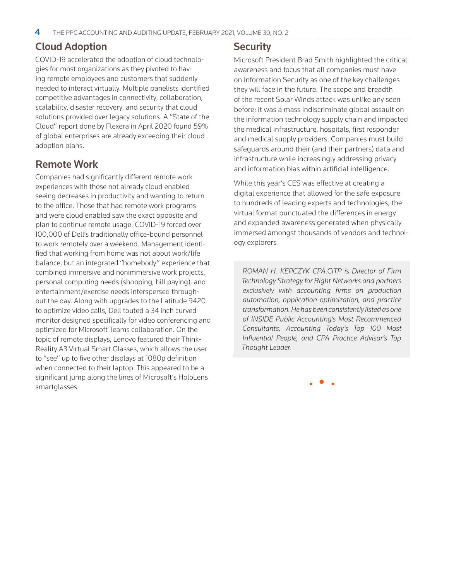### Cloud Adoption

COVID-19 accelerated the adoption of cloud technologies for most organizations as they pivoted to having remote employees and customers that suddenly needed to interact virtually. Multiple panelists identified competitive advantages in connectivity, collaboration, scalability, disaster recovery, and security that cloud solutions provided over legacy solutions. A "State of the Cloud" report done by Flexera in April 2020 found 59% of global enterprises are already exceeding their cloud adoption plans.

### Remote Work

Companies had significantly different remote work experiences with those not already cloud enabled seeing decreases in productivity and wanting to return to the office. Those that had remote work programs and were cloud enabled saw the exact opposite and plan to continue remote usage. COVID-19 forced over 100,000 of Dell's traditionally office-bound personnel to work remotely over a weekend. Management identified that working from home was not about work/life balance, but an integrated "homebody" experience that combined immersive and nonimmersive work projects, personal computing needs (shopping, bill paying), and entertainment/exercise needs interspersed throughout the day. Along with upgrades to the Latitude 9420 to optimize video calls, Dell touted a 34 inch curved monitor designed specifically for video conferencing and optimized for Microsoft Teams collaboration. On the topic of remote displays, Lenovo featured their Think-Reality A3 Virtual Smart Glasses, which allows the user to "see" up to five other displays at 1080p definition when connected to their laptop. This appeared to be a significant jump along the lines of Microsoft's HoloLens smartglasses.

#### **Security**

.

Microsoft President Brad Smith highlighted the critical awareness and focus that all companies must have on Information Security as one of the key challenges they will face in the future. The scope and breadth of the recent Solar Winds attack was unlike any seen before; it was a mass indiscriminate global assault on the information technology supply chain and impacted the medical infrastructure, hospitals, first responder and medical supply providers. Companies must build safeguards around their (and their partners) data and infrastructure while increasingly addressing privacy and information bias within artificial intelligence.

While this year's CES was effective at creating a digital experience that allowed for the safe exposure to hundreds of leading experts and technologies, the virtual format punctuated the differences in energy and expanded awareness generated when physically immersed amongst thousands of vendors and technology explorers

*ROMAN H. KEPCZYK CPA.CITP is Director of Firm Technology Strategy for Right Networks and partners exclusively with accounting firms on production automation, application optimization, and practice transformation. He has been consistently listed as one of INSIDE Public Accounting's Most Recommenced Consultants, Accounting Today's Top 100 Most Influential People, and CPA Practice Advisor's Top Thought Leader.*

• • •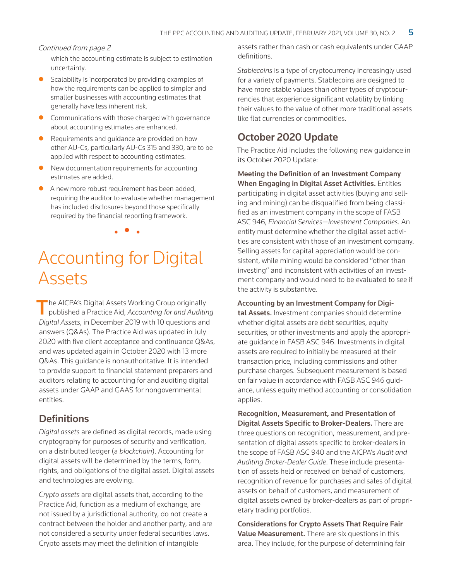#### Continued from page 2

which the accounting estimate is subject to estimation uncertainty.

- Scalability is incorporated by providing examples of how the requirements can be applied to simpler and smaller businesses with accounting estimates that generally have less inherent risk.
- Communications with those charged with governance about accounting estimates are enhanced.
- Requirements and quidance are provided on how other AU-Cs, particularly AU-Cs 315 and 330, are to be applied with respect to accounting estimates.
- New documentation requirements for accounting estimates are added.
- A new more robust requirement has been added, requiring the auditor to evaluate whether management has included disclosures beyond those specifically required by the financial reporting framework.

• • •

# Accounting for Digital Assets

The AICPA's Digital Assets Working Group originally published a Practice Aid, *Accounting for and Auditing Digital Assets*, in December 2019 with 10 questions and answers (Q&As). The Practice Aid was updated in July 2020 with five client acceptance and continuance Q&As, and was updated again in October 2020 with 13 more Q&As. This guidance is nonauthoritative. It is intended to provide support to financial statement preparers and auditors relating to accounting for and auditing digital assets under GAAP and GAAS for nongovernmental entities.

### **Definitions**

*Digital assets* are defined as digital records, made using cryptography for purposes of security and verification, on a distributed ledger (a *blockchain*). Accounting for digital assets will be determined by the terms, form, rights, and obligations of the digital asset. Digital assets and technologies are evolving.

*Crypto assets* are digital assets that, according to the Practice Aid, function as a medium of exchange, are not issued by a jurisdictional authority, do not create a contract between the holder and another party, and are not considered a security under federal securities laws. Crypto assets may meet the definition of intangible

assets rather than cash or cash equivalents under GAAP definitions.

*Stablecoins* is a type of cryptocurrency increasingly used for a variety of payments. Stablecoins are designed to have more stable values than other types of cryptocurrencies that experience significant volatility by linking their values to the value of other more traditional assets like flat currencies or commodities.

### October 2020 Update

The Practice Aid includes the following new guidance in its October 2020 Update:

Meeting the Definition of an Investment Company When Engaging in Digital Asset Activities. Entities participating in digital asset activities (buying and selling and mining) can be disqualified from being classified as an investment company in the scope of FASB ASC 946, *Financial Services—Investment Companies*. An entity must determine whether the digital asset activities are consistent with those of an investment company. Selling assets for capital appreciation would be consistent, while mining would be considered "other than investing" and inconsistent with activities of an investment company and would need to be evaluated to see if the activity is substantive.

Accounting by an Investment Company for Digi-

tal Assets. Investment companies should determine whether digital assets are debt securities, equity securities, or other investments and apply the appropriate guidance in FASB ASC 946. Investments in digital assets are required to initially be measured at their transaction price, including commissions and other purchase charges. Subsequent measurement is based on fair value in accordance with FASB ASC 946 guidance, unless equity method accounting or consolidation applies.

Recognition, Measurement, and Presentation of Digital Assets Specific to Broker-Dealers. There are three questions on recognition, measurement, and presentation of digital assets specific to broker-dealers in the scope of FASB ASC 940 and the AICPA's *Audit and Auditing Broker-Dealer Guide*. These include presentation of assets held or received on behalf of customers, recognition of revenue for purchases and sales of digital assets on behalf of customers, and measurement of digital assets owned by broker-dealers as part of proprietary trading portfolios.

Considerations for Crypto Assets That Require Fair Value Measurement. There are six questions in this area. They include, for the purpose of determining fair